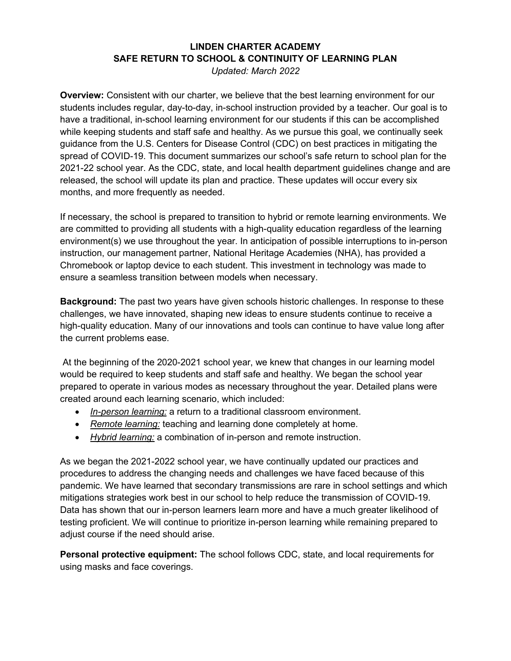## **LINDEN CHARTER ACADEMY SAFE RETURN TO SCHOOL & CONTINUITY OF LEARNING PLAN**

*Updated: March 2022* 

**Overview:** Consistent with our charter, we believe that the best learning environment for our students includes regular, day-to-day, in-school instruction provided by a teacher. Our goal is to have a traditional, in-school learning environment for our students if this can be accomplished while keeping students and staff safe and healthy. As we pursue this goal, we continually seek guidance from the U.S. Centers for Disease Control (CDC) on best practices in mitigating the spread of COVID-19. This document summarizes our school's safe return to school plan for the 2021-22 school year. As the CDC, state, and local health department guidelines change and are released, the school will update its plan and practice. These updates will occur every six months, and more frequently as needed.

If necessary, the school is prepared to transition to hybrid or remote learning environments. We are committed to providing all students with a high-quality education regardless of the learning environment(s) we use throughout the year. In anticipation of possible interruptions to in-person instruction, our management partner, National Heritage Academies (NHA), has provided a Chromebook or laptop device to each student. This investment in technology was made to ensure a seamless transition between models when necessary.

**Background:** The past two years have given schools historic challenges. In response to these challenges, we have innovated, shaping new ideas to ensure students continue to receive a high-quality education. Many of our innovations and tools can continue to have value long after the current problems ease.

At the beginning of the 2020-2021 school year, we knew that changes in our learning model would be required to keep students and staff safe and healthy. We began the school year prepared to operate in various modes as necessary throughout the year. Detailed plans were created around each learning scenario, which included:

- *In-person learning:* a return to a traditional classroom environment.
- *Remote learning:* teaching and learning done completely at home.
- *Hybrid learning:* a combination of in-person and remote instruction.

As we began the 2021-2022 school year, we have continually updated our practices and procedures to address the changing needs and challenges we have faced because of this pandemic. We have learned that secondary transmissions are rare in school settings and which mitigations strategies work best in our school to help reduce the transmission of COVID-19. Data has shown that our in-person learners learn more and have a much greater likelihood of testing proficient. We will continue to prioritize in-person learning while remaining prepared to adjust course if the need should arise.

**Personal protective equipment:** The school follows CDC, state, and local requirements for using masks and face coverings.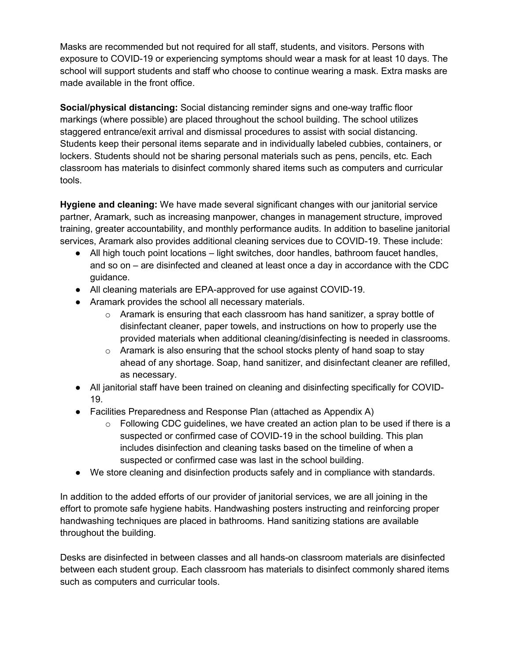Masks are recommended but not required for all staff, students, and visitors. Persons with exposure to COVID-19 or experiencing symptoms should wear a mask for at least 10 days. The school will support students and staff who choose to continue wearing a mask. Extra masks are made available in the front office.

**Social/physical distancing:** Social distancing reminder signs and one-way traffic floor markings (where possible) are placed throughout the school building. The school utilizes staggered entrance/exit arrival and dismissal procedures to assist with social distancing. Students keep their personal items separate and in individually labeled cubbies, containers, or lockers. Students should not be sharing personal materials such as pens, pencils, etc. Each classroom has materials to disinfect commonly shared items such as computers and curricular tools.

**Hygiene and cleaning:** We have made several significant changes with our janitorial service partner, Aramark, such as increasing manpower, changes in management structure, improved training, greater accountability, and monthly performance audits. In addition to baseline janitorial services, Aramark also provides additional cleaning services due to COVID-19. These include:

- All high touch point locations light switches, door handles, bathroom faucet handles, and so on – are disinfected and cleaned at least once a day in accordance with the CDC guidance.
- All cleaning materials are EPA-approved for use against COVID-19.
- Aramark provides the school all necessary materials.
	- $\circ$  Aramark is ensuring that each classroom has hand sanitizer, a spray bottle of disinfectant cleaner, paper towels, and instructions on how to properly use the provided materials when additional cleaning/disinfecting is needed in classrooms.
	- $\circ$  Aramark is also ensuring that the school stocks plenty of hand soap to stay ahead of any shortage. Soap, hand sanitizer, and disinfectant cleaner are refilled, as necessary.
- All janitorial staff have been trained on cleaning and disinfecting specifically for COVID-19.
- Facilities Preparedness and Response Plan (attached as Appendix A)
	- $\circ$  Following CDC guidelines, we have created an action plan to be used if there is a suspected or confirmed case of COVID-19 in the school building. This plan includes disinfection and cleaning tasks based on the timeline of when a suspected or confirmed case was last in the school building.
- We store cleaning and disinfection products safely and in compliance with standards.

In addition to the added efforts of our provider of janitorial services, we are all joining in the effort to promote safe hygiene habits. Handwashing posters instructing and reinforcing proper handwashing techniques are placed in bathrooms. Hand sanitizing stations are available throughout the building.

Desks are disinfected in between classes and all hands-on classroom materials are disinfected between each student group. Each classroom has materials to disinfect commonly shared items such as computers and curricular tools.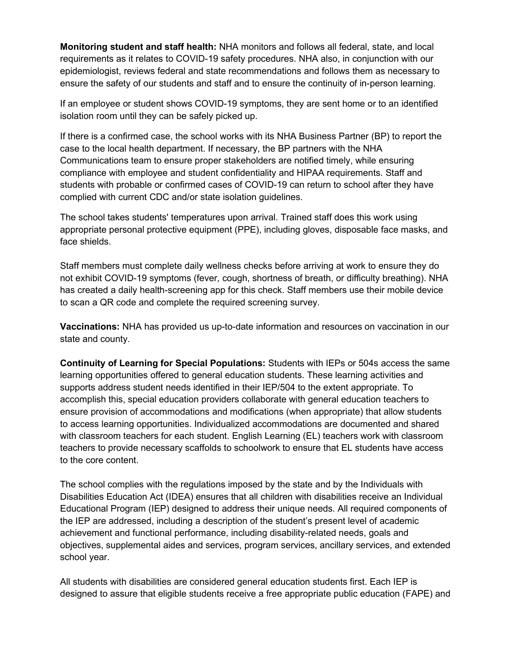**Monitoring student and staff health:** NHA monitors and follows all federal, state, and local requirements as it relates to COVID-19 safety procedures. NHA also, in conjunction with our epidemiologist, reviews federal and state recommendations and follows them as necessary to ensure the safety of our students and staff and to ensure the continuity of in-person learning.

If an employee or student shows COVID-19 symptoms, they are sent home or to an identified isolation room until they can be safely picked up.

If there is a confirmed case, the school works with its NHA Business Partner (BP) to report the case to the local health department. If necessary, the BP partners with the NHA Communications team to ensure proper stakeholders are notified timely, while ensuring compliance with employee and student confidentiality and HIPAA requirements. Staff and students with probable or confirmed cases of COVID-19 can return to school after they have complied with current CDC and/or state isolation guidelines.

The school takes students' temperatures upon arrival. Trained staff does this work using appropriate personal protective equipment (PPE), including gloves, disposable face masks, and face shields.

Staff members must complete daily wellness checks before arriving at work to ensure they do not exhibit COVID-19 symptoms (fever, cough, shortness of breath, or difficulty breathing). NHA has created a daily health-screening app for this check. Staff members use their mobile device to scan a QR code and complete the required screening survey.

**Vaccinations:** NHA has provided us up-to-date information and resources on vaccination in our state and county.

**Continuity of Learning for Special Populations:** Students with IEPs or 504s access the same learning opportunities offered to general education students. These learning activities and supports address student needs identified in their IEP/504 to the extent appropriate. To accomplish this, special education providers collaborate with general education teachers to ensure provision of accommodations and modifications (when appropriate) that allow students to access learning opportunities. Individualized accommodations are documented and shared with classroom teachers for each student. English Learning (EL) teachers work with classroom teachers to provide necessary scaffolds to schoolwork to ensure that EL students have access to the core content.

The school complies with the regulations imposed by the state and by the Individuals with Disabilities Education Act (IDEA) ensures that all children with disabilities receive an Individual Educational Program (IEP) designed to address their unique needs. All required components of the IEP are addressed, including a description of the student's present level of academic achievement and functional performance, including disability-related needs, goals and objectives, supplemental aides and services, program services, ancillary services, and extended school year.

All students with disabilities are considered general education students first. Each IEP is designed to assure that eligible students receive a free appropriate public education (FAPE) and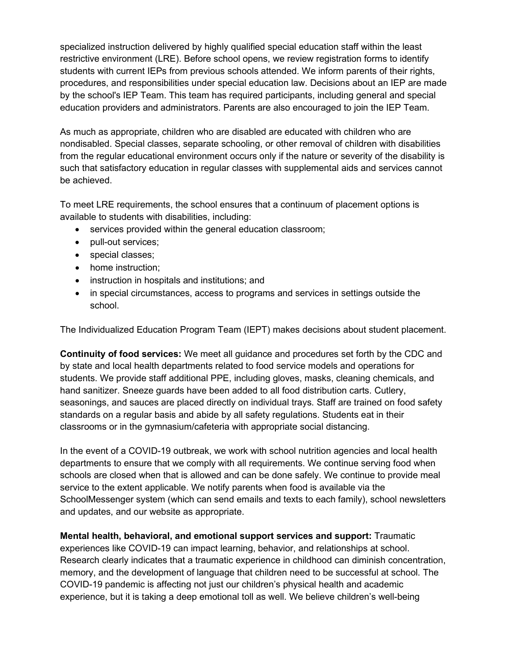specialized instruction delivered by highly qualified special education staff within the least restrictive environment (LRE). Before school opens, we review registration forms to identify students with current IEPs from previous schools attended. We inform parents of their rights, procedures, and responsibilities under special education law. Decisions about an IEP are made by the school's IEP Team. This team has required participants, including general and special education providers and administrators. Parents are also encouraged to join the IEP Team.

As much as appropriate, children who are disabled are educated with children who are nondisabled. Special classes, separate schooling, or other removal of children with disabilities from the regular educational environment occurs only if the nature or severity of the disability is such that satisfactory education in regular classes with supplemental aids and services cannot be achieved.

To meet LRE requirements, the school ensures that a continuum of placement options is available to students with disabilities, including:

- services provided within the general education classroom;
- pull-out services;
- special classes;
- home instruction;
- instruction in hospitals and institutions; and
- in special circumstances, access to programs and services in settings outside the school.

The Individualized Education Program Team (IEPT) makes decisions about student placement.

**Continuity of food services:** We meet all guidance and procedures set forth by the CDC and by state and local health departments related to food service models and operations for students. We provide staff additional PPE, including gloves, masks, cleaning chemicals, and hand sanitizer. Sneeze guards have been added to all food distribution carts. Cutlery, seasonings, and sauces are placed directly on individual trays. Staff are trained on food safety standards on a regular basis and abide by all safety regulations. Students eat in their classrooms or in the gymnasium/cafeteria with appropriate social distancing.

In the event of a COVID-19 outbreak, we work with school nutrition agencies and local health departments to ensure that we comply with all requirements. We continue serving food when schools are closed when that is allowed and can be done safely. We continue to provide meal service to the extent applicable. We notify parents when food is available via the SchoolMessenger system (which can send emails and texts to each family), school newsletters and updates, and our website as appropriate.

**Mental health, behavioral, and emotional support services and support:** Traumatic experiences like COVID-19 can impact learning, behavior, and relationships at school. Research clearly indicates that a traumatic experience in childhood can diminish concentration, memory, and the development of language that children need to be successful at school. The COVID-19 pandemic is affecting not just our children's physical health and academic experience, but it is taking a deep emotional toll as well. We believe children's well-being